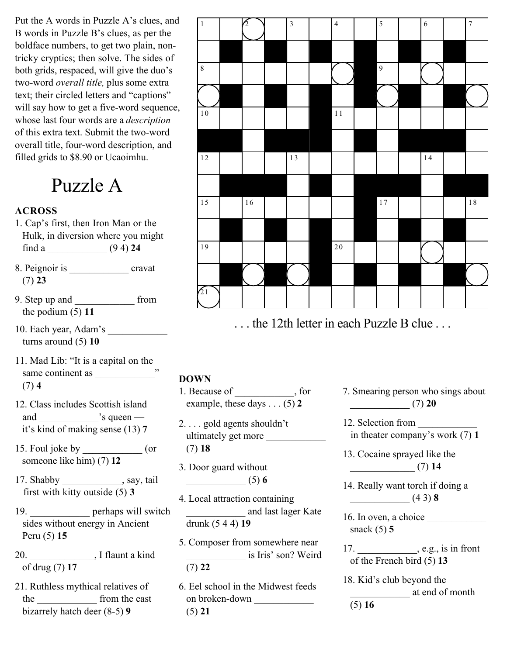Put the A words in Puzzle A's clues, and B words in Puzzle B's clues, as per the boldface numbers, to get two plain, nontricky cryptics; then solve. The sides of both grids, respaced, will give the duo's two-word *overall title,* plus some extra text; their circled letters and "captions" will say how to get a five-word sequence, whose last four words are a *description* of this extra text. Submit the two-word overall title, four-word description, and filled grids to \$8.90 or Ucaoimhu.

Puzzle A

#### **ACROSS**

- 1. Cap's first, then Iron Man or the Hulk, in diversion where you might find a \_\_\_\_\_\_\_\_\_\_\_\_ (9 4) **24**
- 8. Peignoir is cravat (7) **23**
- 9. Step up and \_\_\_\_\_\_\_\_\_\_\_\_ from the podium (5) **11**
- 10. Each year, Adam's \_\_\_\_\_\_\_\_\_\_\_\_ turns around (5) **10**
- 11. Mad Lib: "It is a capital on the same continent as \_\_\_\_\_\_\_\_\_\_\_\_" (7) **4**
- 12. Class includes Scottish island and  $\Box$ 's queen it's kind of making sense (13) **7**
- 15. Foul joke by \_\_\_\_\_\_\_\_\_\_\_\_ (or someone like him) (7) **12**
- 17. Shabby \_\_\_\_\_\_\_\_\_\_\_\_, say, tail first with kitty outside (5) **3**
- 19. **perhaps will switch**  sides without energy in Ancient Peru (5) **15**
- 20. \_\_\_\_\_\_\_\_\_\_\_\_\_, I flaunt a kind of drug (7) **17**
- 21. Ruthless mythical relatives of the \_\_\_\_\_\_\_\_\_\_\_\_ from the east bizarrely hatch deer (8-5) **9**



... the 12th letter in each Puzzle B clue ...

#### **DOWN**

- 1. Because of  $\qquad \qquad$ , for example, these days . . . (5) **2**
- 2. . . . gold agents shouldn't ultimately get more (7) **18**
- 3. Door guard without \_\_\_\_\_\_\_\_\_\_\_\_ (5) **6**
- 4. Local attraction containing \_\_\_\_\_\_\_\_\_\_\_\_ and last lager Kate drunk (5 4 4) **19**
- 5. Composer from somewhere near is Iris' son? Weird (7) **22**

6. Eel school in the Midwest feeds on broken-down \_\_\_\_\_\_\_\_\_\_\_\_ (5) **21**

7. Smearing person who sings about \_\_\_\_\_\_\_\_\_\_\_\_ (7) **20**

12. Selection from \_\_\_\_\_\_\_\_\_\_\_\_ in theater company's work (7) **1**

13. Cocaine sprayed like the \_\_\_\_\_\_\_\_\_\_\_\_\_ (7) **14**

14. Really want torch if doing a \_\_\_\_\_\_\_\_\_\_\_\_ (4 3) **8**

16. In oven, a choice \_\_\_\_\_\_\_\_\_\_\_\_ snack (5) **5**

17. \_\_\_\_\_\_\_\_\_\_\_\_, e.g., is in front of the French bird (5) **13**

18. Kid's club beyond the \_\_\_\_\_\_\_\_\_\_\_\_ at end of month (5) **16**